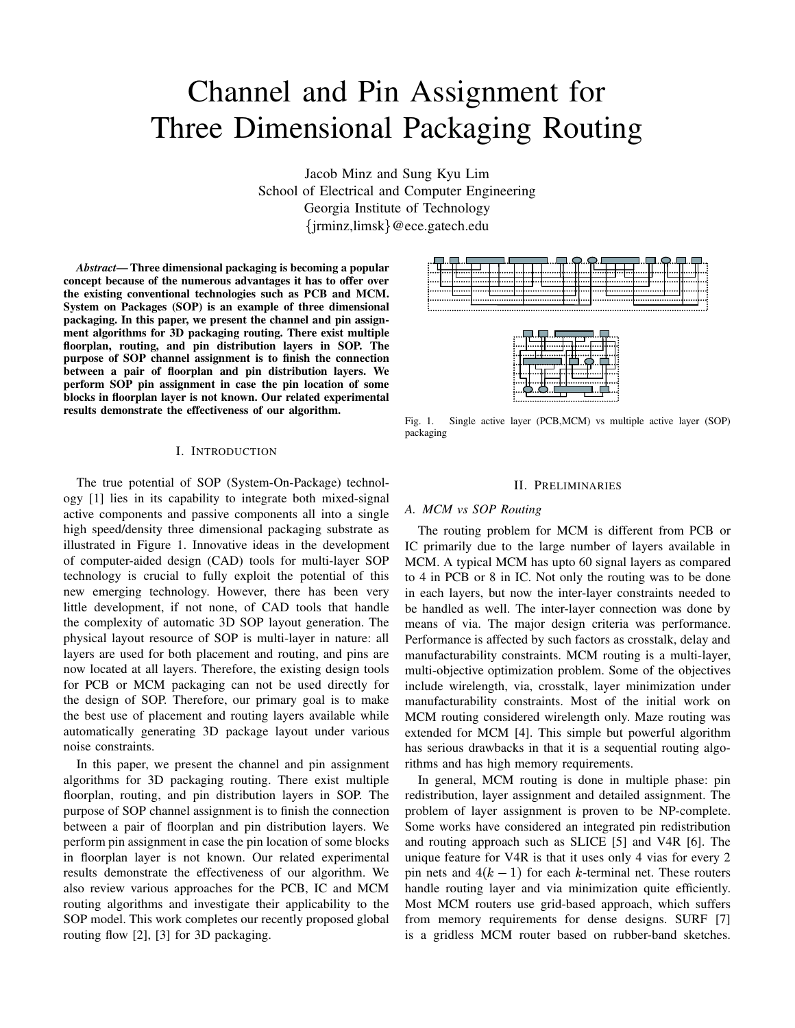# Channel and Pin Assignment for Three Dimensional Packaging Routing

Jacob Minz and Sung Kyu Lim School of Electrical and Computer Engineering Georgia Institute of Technology jrminz,limsk @ece.gatech.edu

*Abstract***— Three dimensional packaging is becoming a popular concept because of the numerous advantages it has to offer over the existing conventional technologies such as PCB and MCM. System on Packages (SOP) is an example of three dimensional packaging. In this paper, we present the channel and pin assignment algorithms for 3D packaging routing. There exist multiple floorplan, routing, and pin distribution layers in SOP. The purpose of SOP channel assignment is to finish the connection between a pair of floorplan and pin distribution layers. We perform SOP pin assignment in case the pin location of some blocks in floorplan layer is not known. Our related experimental results demonstrate the effectiveness of our algorithm.**

#### I. INTRODUCTION

The true potential of SOP (System-On-Package) technology [1] lies in its capability to integrate both mixed-signal active components and passive components all into a single high speed/density three dimensional packaging substrate as illustrated in Figure 1. Innovative ideas in the development of computer-aided design (CAD) tools for multi-layer SOP technology is crucial to fully exploit the potential of this new emerging technology. However, there has been very little development, if not none, of CAD tools that handle the complexity of automatic 3D SOP layout generation. The physical layout resource of SOP is multi-layer in nature: all layers are used for both placement and routing, and pins are now located at all layers. Therefore, the existing design tools for PCB or MCM packaging can not be used directly for the design of SOP. Therefore, our primary goal is to make the best use of placement and routing layers available while automatically generating 3D package layout under various noise constraints.

In this paper, we present the channel and pin assignment algorithms for 3D packaging routing. There exist multiple floorplan, routing, and pin distribution layers in SOP. The purpose of SOP channel assignment is to finish the connection between a pair of floorplan and pin distribution layers. We perform pin assignment in case the pin location of some blocks in floorplan layer is not known. Our related experimental results demonstrate the effectiveness of our algorithm. We also review various approaches for the PCB, IC and MCM routing algorithms and investigate their applicability to the SOP model. This work completes our recently proposed global routing flow [2], [3] for 3D packaging.

Fig. 1. Single active layer (PCB,MCM) vs multiple active layer (SOP) packaging

#### II. PRELIMINARIES

#### *A. MCM vs SOP Routing*

The routing problem for MCM is different from PCB or IC primarily due to the large number of layers available in MCM. A typical MCM has upto 60 signal layers as compared to 4 in PCB or 8 in IC. Not only the routing was to be done in each layers, but now the inter-layer constraints needed to be handled as well. The inter-layer connection was done by means of via. The major design criteria was performance. Performance is affected by such factors as crosstalk, delay and manufacturability constraints. MCM routing is a multi-layer, multi-objective optimization problem. Some of the objectives include wirelength, via, crosstalk, layer minimization under manufacturability constraints. Most of the initial work on MCM routing considered wirelength only. Maze routing was extended for MCM [4]. This simple but powerful algorithm has serious drawbacks in that it is a sequential routing algorithms and has high memory requirements.

In general, MCM routing is done in multiple phase: pin redistribution, layer assignment and detailed assignment. The problem of layer assignment is proven to be NP-complete. Some works have considered an integrated pin redistribution and routing approach such as SLICE [5] and V4R [6]. The unique feature for V4R is that it uses only 4 vias for every 2 pin nets and  $4(k-1)$  for each k-terminal net. These routers handle routing layer and via minimization quite efficiently. Most MCM routers use grid-based approach, which suffers from memory requirements for dense designs. SURF [7] is a gridless MCM router based on rubber-band sketches.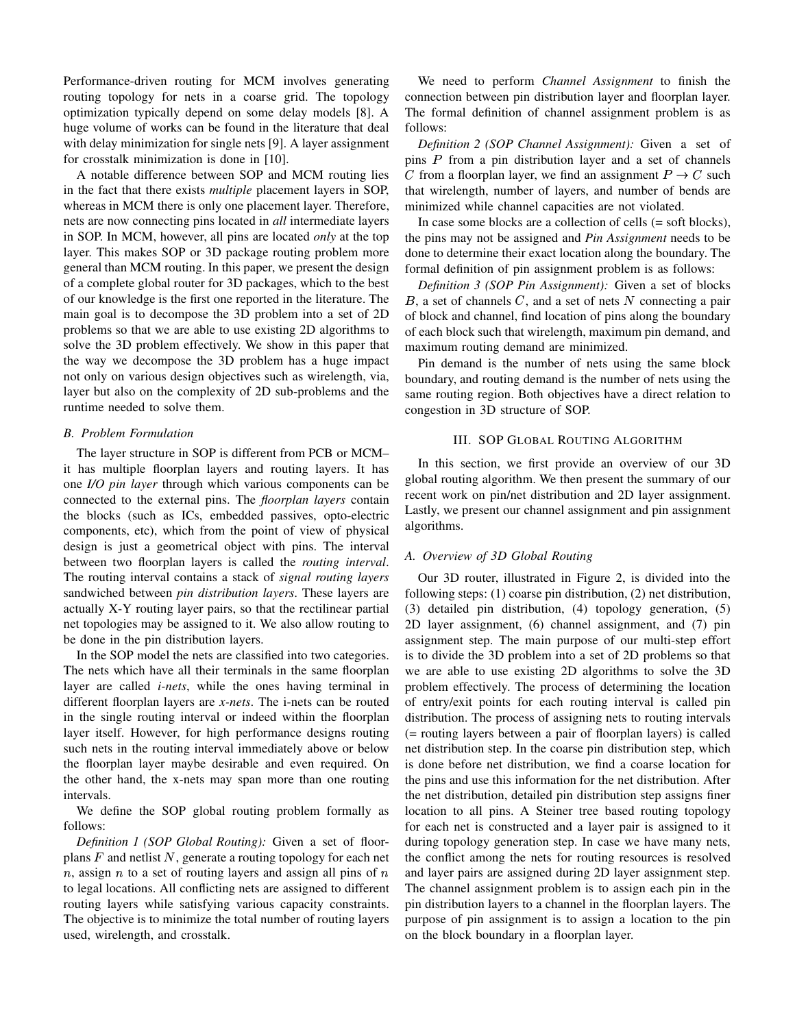Performance-driven routing for MCM involves generating routing topology for nets in a coarse grid. The topology optimization typically depend on some delay models [8]. A huge volume of works can be found in the literature that deal with delay minimization for single nets [9]. A layer assignment for crosstalk minimization is done in [10].

A notable difference between SOP and MCM routing lies in the fact that there exists *multiple* placement layers in SOP, whereas in MCM there is only one placement layer. Therefore, nets are now connecting pins located in *all* intermediate layers in SOP. In MCM, however, all pins are located *only* at the top layer. This makes SOP or 3D package routing problem more general than MCM routing. In this paper, we present the design of a complete global router for 3D packages, which to the best of our knowledge is the first one reported in the literature. The main goal is to decompose the 3D problem into a set of 2D problems so that we are able to use existing 2D algorithms to solve the 3D problem effectively. We show in this paper that the way we decompose the 3D problem has a huge impact not only on various design objectives such as wirelength, via, layer but also on the complexity of 2D sub-problems and the runtime needed to solve them.

## *B. Problem Formulation*

The layer structure in SOP is different from PCB or MCM– it has multiple floorplan layers and routing layers. It has one *I/O pin layer* through which various components can be connected to the external pins. The *floorplan layers* contain the blocks (such as ICs, embedded passives, opto-electric components, etc), which from the point of view of physical design is just a geometrical object with pins. The interval between two floorplan layers is called the *routing interval*. The routing interval contains a stack of *signal routing layers* sandwiched between *pin distribution layers*. These layers are actually X-Y routing layer pairs, so that the rectilinear partial net topologies may be assigned to it. We also allow routing to be done in the pin distribution layers.

In the SOP model the nets are classified into two categories. The nets which have all their terminals in the same floorplan layer are called *i-nets*, while the ones having terminal in different floorplan layers are *x-nets*. The i-nets can be routed in the single routing interval or indeed within the floorplan layer itself. However, for high performance designs routing such nets in the routing interval immediately above or below the floorplan layer maybe desirable and even required. On the other hand, the x-nets may span more than one routing intervals.

We define the SOP global routing problem formally as follows:

*Definition 1 (SOP Global Routing):* Given a set of floorplans  $F$  and netlist  $N$ , generate a routing topology for each net n, assign n to a set of routing layers and assign all pins of  $n$  and layer to legal locations. All conflicting nets are assigned to different routing layers while satisfying various capacity constraints. The objective is to minimize the total number of routing layers used, wirelength, and crosstalk.

We need to perform *Channel Assignment* to finish the connection between pin distribution layer and floorplan layer. The formal definition of channel assignment problem is as follows:

*Definition 2 (SOP Channel Assignment):* Given a set of pins  $P$  from a pin distribution layer and a set of channels C from a floorplan layer, we find an assignment  $P \to C$  such that wirelength, number of layers, and number of bends are minimized while channel capacities are not violated.

In case some blocks are a collection of cells (= soft blocks), the pins may not be assigned and *Pin Assignment* needs to be done to determine their exact location along the boundary. The formal definition of pin assignment problem is as follows:

*Definition 3 (SOP Pin Assignment):* Given a set of blocks  $B$ , a set of channels  $C$ , and a set of nets  $N$  connecting a pair of block and channel, find location of pins along the boundary of each block such that wirelength, maximum pin demand, and maximum routing demand are minimized.

Pin demand is the number of nets using the same block boundary, and routing demand is the number of nets using the same routing region. Both objectives have a direct relation to congestion in 3D structure of SOP.

## III. SOP GLOBAL ROUTING ALGORITHM

In this section, we first provide an overview of our 3D global routing algorithm. We then present the summary of our recent work on pin/net distribution and 2D layer assignment. Lastly, we present our channel assignment and pin assignment algorithms.

## *A. Overview of 3D Global Routing*

Our 3D router, illustrated in Figure 2, is divided into the following steps: (1) coarse pin distribution, (2) net distribution, (3) detailed pin distribution, (4) topology generation, (5) 2D layer assignment, (6) channel assignment, and (7) pin assignment step. The main purpose of our multi-step effort is to divide the 3D problem into a set of 2D problems so that we are able to use existing 2D algorithms to solve the 3D problem effectively. The process of determining the location of entry/exit points for each routing interval is called pin distribution. The process of assigning nets to routing intervals (= routing layers between a pair of floorplan layers) is called net distribution step. In the coarse pin distribution step, which is done before net distribution, we find a coarse location for the pins and use this information for the net distribution. After the net distribution, detailed pin distribution step assigns finer location to all pins. A Steiner tree based routing topology for each net is constructed and a layer pair is assigned to it during topology generation step. In case we have many nets, the conflict among the nets for routing resources is resolved and layer pairs are assigned during 2D layer assignment step. The channel assignment problem is to assign each pin in the pin distribution layers to a channel in the floorplan layers. The purpose of pin assignment is to assign a location to the pin on the block boundary in a floorplan layer.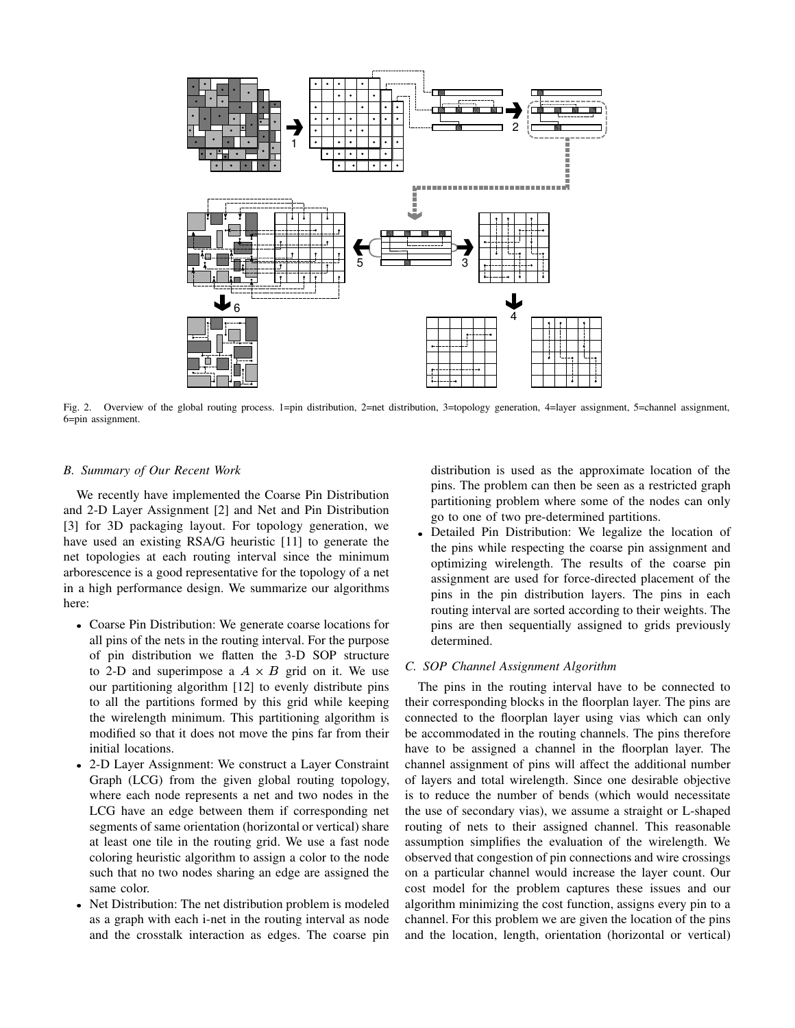

Fig. 2. Overview of the global routing process. 1=pin distribution, 2=net distribution, 3=topology generation, 4=layer assignment, 5=channel assignment, 6=pin assignment.

# *B. Summary of Our Recent Work*

We recently have implemented the Coarse Pin Distribution and 2-D Layer Assignment [2] and Net and Pin Distribution [3] for 3D packaging layout. For topology generation, we have used an existing RSA/G heuristic [11] to generate the net topologies at each routing interval since the minimum arborescence is a good representative for the topology of a net in a high performance design. We summarize our algorithms here:

- Coarse Pin Distribution: We generate coarse locations for all pins of the nets in the routing interval. For the purpose of pin distribution we flatten the 3-D SOP structure to 2-D and superimpose a  $A \times B$  grid on it. We use our partitioning algorithm [12] to evenly distribute pins to all the partitions formed by this grid while keeping the wirelength minimum. This partitioning algorithm is modified so that it does not move the pins far from their initial locations.
- 2-D Layer Assignment: We construct a Layer Constraint Graph (LCG) from the given global routing topology, where each node represents a net and two nodes in the LCG have an edge between them if corresponding net segments of same orientation (horizontal or vertical) share at least one tile in the routing grid. We use a fast node coloring heuristic algorithm to assign a color to the node such that no two nodes sharing an edge are assigned the same color.
- Net Distribution: The net distribution problem is modeled as a graph with each i-net in the routing interval as node and the crosstalk interaction as edges. The coarse pin

distribution is used as the approximate location of the pins. The problem can then be seen as a restricted graph partitioning problem where some of the nodes can only go to one of two pre-determined partitions.

Detailed Pin Distribution: We legalize the location of the pins while respecting the coarse pin assignment and optimizing wirelength. The results of the coarse pin assignment are used for force-directed placement of the pins in the pin distribution layers. The pins in each routing interval are sorted according to their weights. The pins are then sequentially assigned to grids previously determined.

## *C. SOP Channel Assignment Algorithm*

The pins in the routing interval have to be connected to their corresponding blocks in the floorplan layer. The pins are connected to the floorplan layer using vias which can only be accommodated in the routing channels. The pins therefore have to be assigned a channel in the floorplan layer. The channel assignment of pins will affect the additional number of layers and total wirelength. Since one desirable objective is to reduce the number of bends (which would necessitate the use of secondary vias), we assume a straight or L-shaped routing of nets to their assigned channel. This reasonable assumption simplifies the evaluation of the wirelength. We observed that congestion of pin connections and wire crossings on a particular channel would increase the layer count. Our cost model for the problem captures these issues and our algorithm minimizing the cost function, assigns every pin to a channel. For this problem we are given the location of the pins and the location, length, orientation (horizontal or vertical)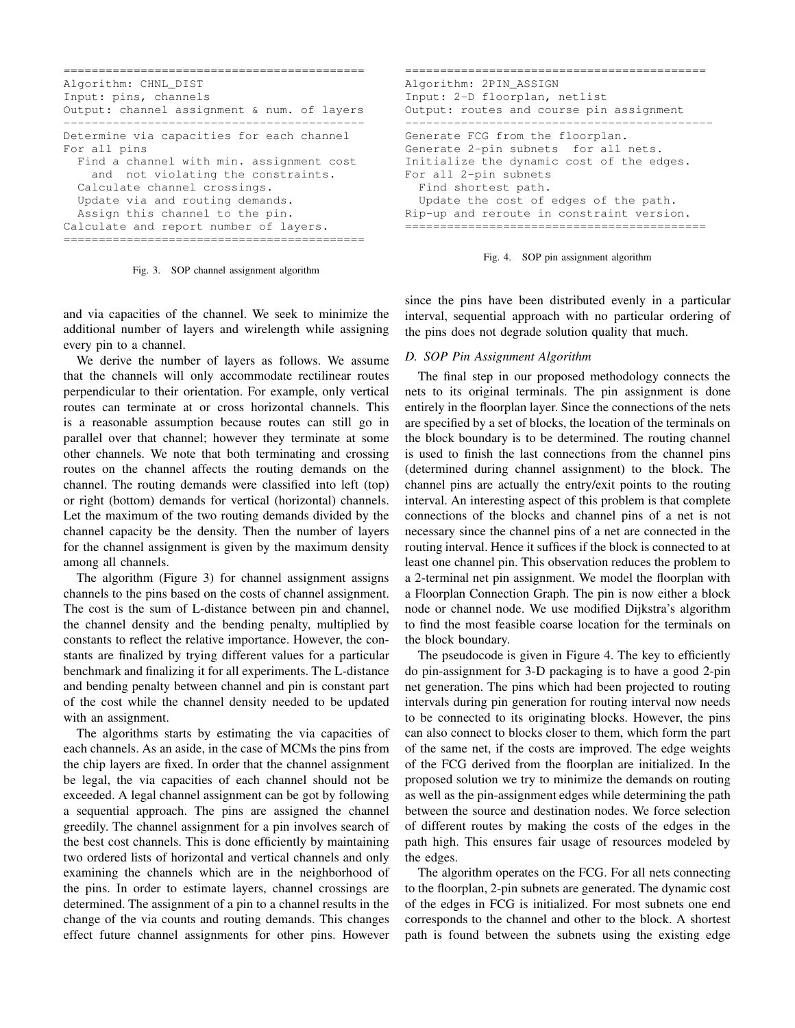```
===========================================
Algorithm: CHNL_DIST
Input: pins, channels
Output: channel assignment & num. of layers
       -------------------------------------------
Determine via capacities for each channel
For all pins
  Find a channel with min. assignment cost
    and not violating the constraints.
  Calculate channel crossings.
  Update via and routing demands.
  Assign this channel to the pin.
Calculate and report number of layers.
===========================================
```
Fig. 3. SOP channel assignment algorithm

and via capacities of the channel. We seek to minimize the additional number of layers and wirelength while assigning every pin to a channel.

We derive the number of layers as follows. We assume that the channels will only accommodate rectilinear routes perpendicular to their orientation. For example, only vertical routes can terminate at or cross horizontal channels. This is a reasonable assumption because routes can still go in parallel over that channel; however they terminate at some other channels. We note that both terminating and crossing routes on the channel affects the routing demands on the channel. The routing demands were classified into left (top) or right (bottom) demands for vertical (horizontal) channels. Let the maximum of the two routing demands divided by the channel capacity be the density. Then the number of layers for the channel assignment is given by the maximum density among all channels.

The algorithm (Figure 3) for channel assignment assigns channels to the pins based on the costs of channel assignment. The cost is the sum of L-distance between pin and channel, the channel density and the bending penalty, multiplied by constants to reflect the relative importance. However, the constants are finalized by trying different values for a particular benchmark and finalizing it for all experiments. The L-distance and bending penalty between channel and pin is constant part of the cost while the channel density needed to be updated with an assignment.

The algorithms starts by estimating the via capacities of each channels. As an aside, in the case of MCMs the pins from the chip layers are fixed. In order that the channel assignment be legal, the via capacities of each channel should not be exceeded. A legal channel assignment can be got by following a sequential approach. The pins are assigned the channel greedily. The channel assignment for a pin involves search of the best cost channels. This is done efficiently by maintaining two ordered lists of horizontal and vertical channels and only examining the channels which are in the neighborhood of the pins. In order to estimate layers, channel crossings are determined. The assignment of a pin to a channel results in the change of the via counts and routing demands. This changes effect future channel assignments for other pins. However

=========================================== Algorithm: 2PIN\_ASSIGN Input: 2-D floorplan, netlist Output: routes and course pin assignment -------------------------------------------- Generate FCG from the floorplan. Generate 2-pin subnets for all nets. Initialize the dynamic cost of the edges. For all 2-pin subnets Find shortest path. Update the cost of edges of the path. Rip-up and reroute in constraint version. ===========================================



since the pins have been distributed evenly in a particular interval, sequential approach with no particular ordering of the pins does not degrade solution quality that much.

## *D. SOP Pin Assignment Algorithm*

The final step in our proposed methodology connects the nets to its original terminals. The pin assignment is done entirely in the floorplan layer. Since the connections of the nets are specified by a set of blocks, the location of the terminals on the block boundary is to be determined. The routing channel is used to finish the last connections from the channel pins (determined during channel assignment) to the block. The channel pins are actually the entry/exit points to the routing interval. An interesting aspect of this problem is that complete connections of the blocks and channel pins of a net is not necessary since the channel pins of a net are connected in the routing interval. Hence it suffices if the block is connected to at least one channel pin. This observation reduces the problem to a 2-terminal net pin assignment. We model the floorplan with a Floorplan Connection Graph. The pin is now either a block node or channel node. We use modified Dijkstra's algorithm to find the most feasible coarse location for the terminals on the block boundary.

The pseudocode is given in Figure 4. The key to efficiently do pin-assignment for 3-D packaging is to have a good 2-pin net generation. The pins which had been projected to routing intervals during pin generation for routing interval now needs to be connected to its originating blocks. However, the pins can also connect to blocks closer to them, which form the part of the same net, if the costs are improved. The edge weights of the FCG derived from the floorplan are initialized. In the proposed solution we try to minimize the demands on routing as well as the pin-assignment edges while determining the path between the source and destination nodes. We force selection of different routes by making the costs of the edges in the path high. This ensures fair usage of resources modeled by the edges.

The algorithm operates on the FCG. For all nets connecting to the floorplan, 2-pin subnets are generated. The dynamic cost of the edges in FCG is initialized. For most subnets one end corresponds to the channel and other to the block. A shortest path is found between the subnets using the existing edge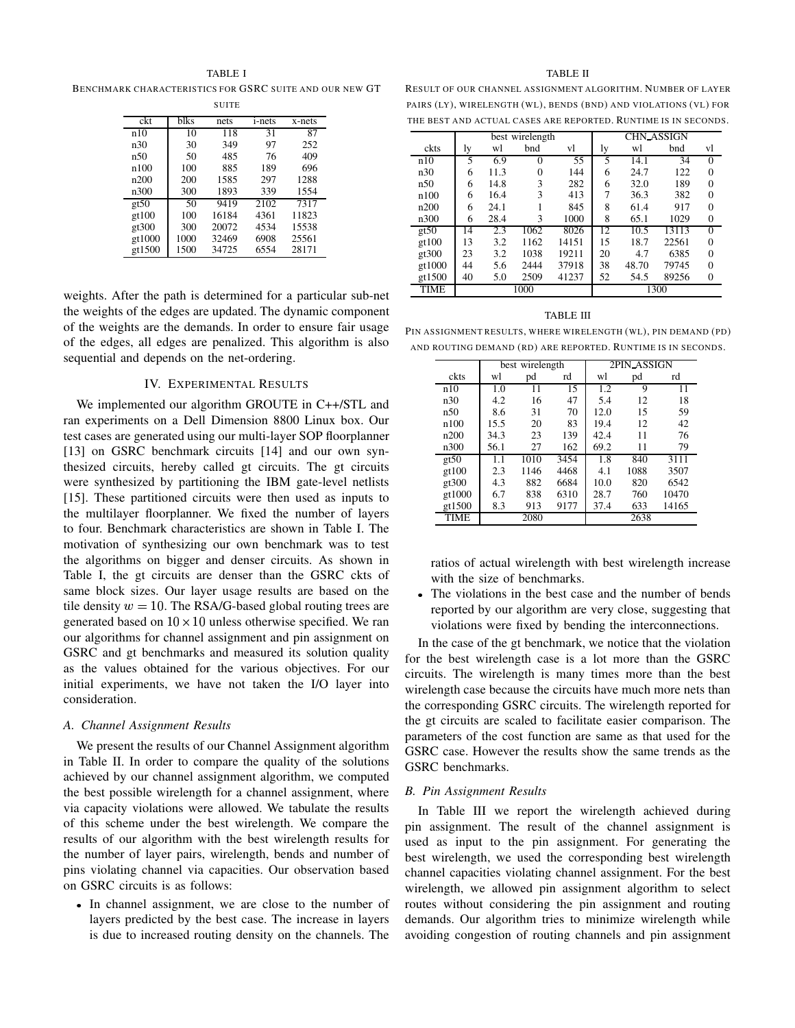TABLE I

BENCHMARK CHARACTERISTICS FOR GSRC SUITE AND OUR NEW GT **SUITE** 

| ckt    | blks | nets  | <i>i</i> -nets | x-nets |
|--------|------|-------|----------------|--------|
| n10    | 10   | 118   | 31             | 87     |
| n30    | 30   | 349   | 97             | 252    |
| n50    | 50   | 485   | 76             | 409    |
| n100   | 100  | 885   | 189            | 696    |
| n200   | 200  | 1585  | 297            | 1288   |
| n300   | 300  | 1893  | 339            | 1554   |
| gt50   | 50   | 9419  | 2102           | 7317   |
| gt100  | 100  | 16184 | 4361           | 11823  |
| gt300  | 300  | 20072 | 4534           | 15538  |
| gt1000 | 1000 | 32469 | 6908           | 25561  |
| gt1500 | 1500 | 34725 | 6554           | 28171  |

weights. After the path is determined for a particular sub-net the weights of the edges are updated. The dynamic component of the weights are the demands. In order to ensure fair usage of the edges, all edges are penalized. This algorithm is also sequential and depends on the net-ordering.

## IV. EXPERIMENTAL RESULTS

We implemented our algorithm GROUTE in C++/STL and ran experiments on a Dell Dimension 8800 Linux box. Our test cases are generated using our multi-layer SOP floorplanner [13] on GSRC benchmark circuits [14] and our own synthesized circuits, hereby called gt circuits. The gt circuits were synthesized by partitioning the IBM gate-level netlists [15]. These partitioned circuits were then used as inputs to the multilayer floorplanner. We fixed the number of layers to four. Benchmark characteristics are shown in Table I. The motivation of synthesizing our own benchmark was to test the algorithms on bigger and denser circuits. As shown in Table I, the gt circuits are denser than the GSRC ckts of same block sizes. Our layer usage results are based on the tile density  $w = 10$ . The RSA/G-based global routing trees are generated based on  $10 \times 10$  unless otherwise specified. We ran our algorithms for channel assignment and pin assignment on GSRC and gt benchmarks and measured its solution quality as the values obtained for the various objectives. For our initial experiments, we have not taken the I/O layer into consideration.

#### *A. Channel Assignment Results*

We present the results of our Channel Assignment algorithm in Table II. In order to compare the quality of the solutions achieved by our channel assignment algorithm, we computed the best possible wirelength for a channel assignment, where via capacity violations were allowed. We tabulate the results of this scheme under the best wirelength. We compare the results of our algorithm with the best wirelength results for the number of layer pairs, wirelength, bends and number of pins violating channel via capacities. Our observation based on GSRC circuits is as follows:

In channel assignment, we are close to the number of layers predicted by the best case. The increase in layers is due to increased routing density on the channels. The

#### TABLE II

RESULT OF OUR CHANNEL ASSIGNMENT ALGORITHM. NUMBER OF LAYER PAIRS (LY), WIRELENGTH (WL), BENDS (BND) AND VIOLATIONS (VL) FOR THE BEST AND ACTUAL CASES ARE REPORTED. RUNTIME IS IN SECONDS.

|             | best wirelength |      |      | <b>CHN_ASSIGN</b> |    |       |       |                |
|-------------|-----------------|------|------|-------------------|----|-------|-------|----------------|
| ckts        | ly              | wl   | bnd  | vl                | ly | wl    | bnd   | vl             |
| n10         | 5               | 6.9  | 0    | 55                | 5  | 14.1  | 34    | $\mathbf{0}$   |
| n30         | 6               | 11.3 | 0    | 144               | 6  | 24.7  | 122   | 0              |
| n50         | 6               | 14.8 | 3    | 282               | 6  | 32.0  | 189   | $\overline{0}$ |
| n100        | 6               | 16.4 | 3    | 413               | 7  | 36.3  | 382   | 0              |
| n200        | 6               | 24.1 |      | 845               | 8  | 61.4  | 917   | $\overline{0}$ |
| n300        | 6               | 28.4 | 3    | 1000              | 8  | 65.1  | 1029  | $\mathbf{0}$   |
| gt50        | 14              | 2.3  | 1062 | 8026              | 12 | 10.5  | 13113 | $\Omega$       |
| gt100       | 13              | 3.2  | 1162 | 14151             | 15 | 18.7  | 22561 | 0              |
| gt300       | 23              | 3.2  | 1038 | 19211             | 20 | 4.7   | 6385  | $\theta$       |
| gt1000      | 44              | 5.6  | 2444 | 37918             | 38 | 48.70 | 79745 | $\theta$       |
| gt1500      | 40              | 5.0  | 2509 | 41237             | 52 | 54.5  | 89256 | $\overline{0}$ |
| <b>TIME</b> | 1000            |      |      | 1300              |    |       |       |                |

## TABLE III

PIN ASSIGNMENT RESULTS, WHERE WIRELENGTH (WL), PIN DEMAND (PD) AND ROUTING DEMAND (RD) ARE REPORTED. RUNTIME IS IN SECONDS.

|        | best wirelength |      |      | 2PIN ASSIGN |      |       |
|--------|-----------------|------|------|-------------|------|-------|
| ckts   | wl              | pd   | rd   | wl          | pd   | rd    |
| n10    | 1.0             | 11   | 15   | 1.2         | 9    | 11    |
| n30    | 4.2             | 16   | 47   | 5.4         | 12   | 18    |
| n50    | 8.6             | 31   | 70   | 12.0        | 15   | 59    |
| n100   | 15.5            | 20   | 83   | 19.4        | 12   | 42    |
| n200   | 34.3            | 23   | 139  | 42.4        | 11   | 76    |
| n300   | 56.1            | 27   | 162  | 69.2        | 11   | 79    |
| gt50   | 1.1             | 1010 | 3454 | 1.8         | 840  | 3111  |
| gt100  | 2.3             | 1146 | 4468 | 4.1         | 1088 | 3507  |
| gt300  | 4.3             | 882  | 6684 | 10.0        | 820  | 6542  |
| gt1000 | 6.7             | 838  | 6310 | 28.7        | 760  | 10470 |
| gt1500 | 8.3             | 913  | 9177 | 37.4        | 633  | 14165 |
| TIME   |                 | 2080 |      |             | 2638 |       |

ratios of actual wirelength with best wirelength increase with the size of benchmarks.

The violations in the best case and the number of bends reported by our algorithm are very close, suggesting that violations were fixed by bending the interconnections.

In the case of the gt benchmark, we notice that the violation for the best wirelength case is a lot more than the GSRC circuits. The wirelength is many times more than the best wirelength case because the circuits have much more nets than the corresponding GSRC circuits. The wirelength reported for the gt circuits are scaled to facilitate easier comparison. The parameters of the cost function are same as that used for the GSRC case. However the results show the same trends as the GSRC benchmarks.

## *B. Pin Assignment Results*

In Table III we report the wirelength achieved during pin assignment. The result of the channel assignment is used as input to the pin assignment. For generating the best wirelength, we used the corresponding best wirelength channel capacities violating channel assignment. For the best wirelength, we allowed pin assignment algorithm to select routes without considering the pin assignment and routing demands. Our algorithm tries to minimize wirelength while avoiding congestion of routing channels and pin assignment